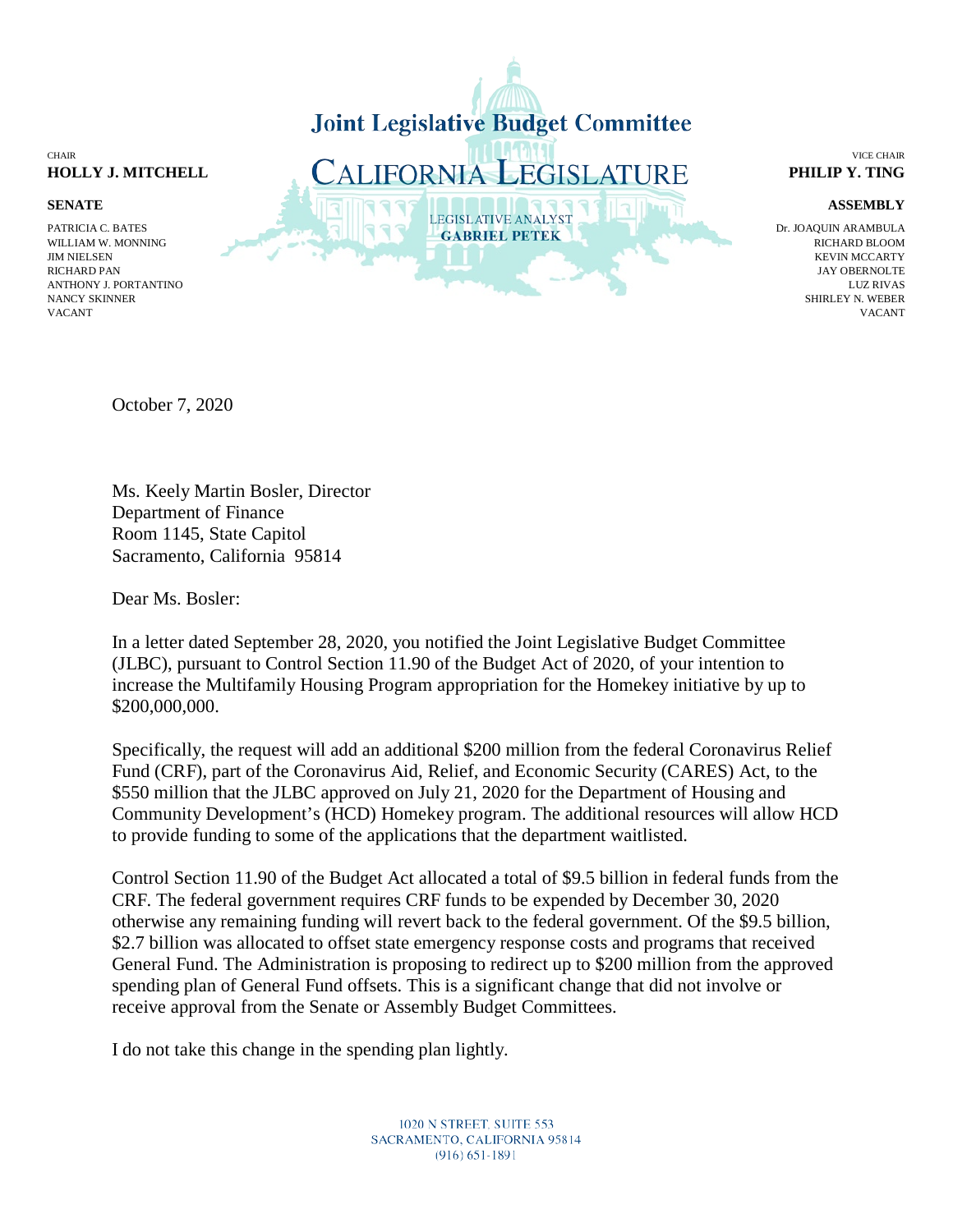

October 7, 2020

Ms. Keely Martin Bosler, Director Department of Finance Room 1145, State Capitol Sacramento, California 95814

Dear Ms. Bosler:

In a letter dated September 28, 2020, you notified the Joint Legislative Budget Committee (JLBC), pursuant to Control Section 11.90 of the Budget Act of 2020, of your intention to increase the Multifamily Housing Program appropriation for the Homekey initiative by up to \$200,000,000.

Specifically, the request will add an additional \$200 million from the federal Coronavirus Relief Fund (CRF), part of the Coronavirus Aid, Relief, and Economic Security (CARES) Act, to the \$550 million that the JLBC approved on July 21, 2020 for the Department of Housing and Community Development's (HCD) Homekey program. The additional resources will allow HCD to provide funding to some of the applications that the department waitlisted.

Control Section 11.90 of the Budget Act allocated a total of \$9.5 billion in federal funds from the CRF. The federal government requires CRF funds to be expended by December 30, 2020 otherwise any remaining funding will revert back to the federal government. Of the \$9.5 billion, \$2.7 billion was allocated to offset state emergency response costs and programs that received General Fund. The Administration is proposing to redirect up to \$200 million from the approved spending plan of General Fund offsets. This is a significant change that did not involve or receive approval from the Senate or Assembly Budget Committees.

I do not take this change in the spending plan lightly.

NANCY SKINNER SHIRLEY N. WEBER VACANT VACANT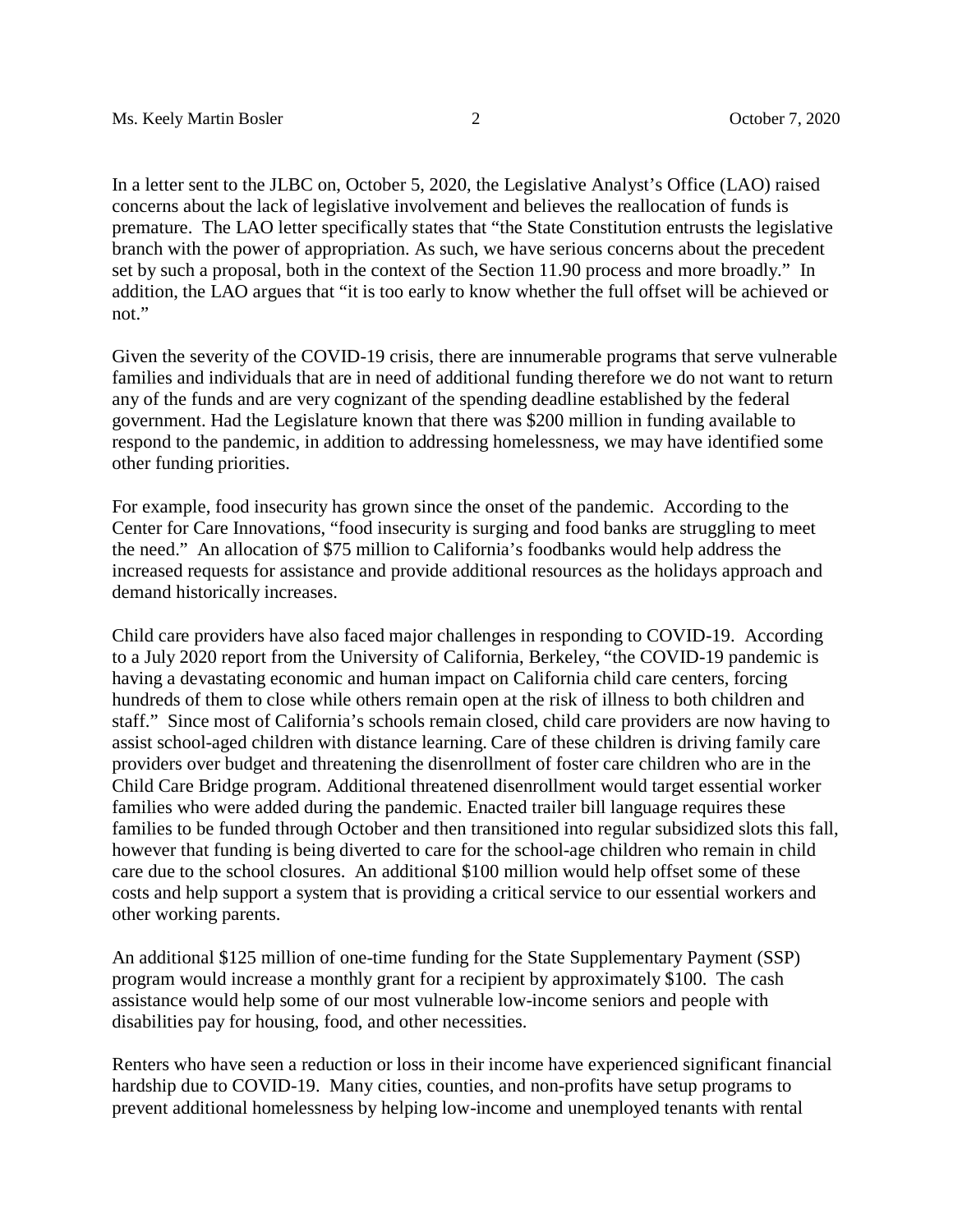In a letter sent to the JLBC on, October 5, 2020, the Legislative Analyst's Office (LAO) raised concerns about the lack of legislative involvement and believes the reallocation of funds is premature. The LAO letter specifically states that "the State Constitution entrusts the legislative branch with the power of appropriation. As such, we have serious concerns about the precedent set by such a proposal, both in the context of the Section 11.90 process and more broadly." In addition, the LAO argues that "it is too early to know whether the full offset will be achieved or not."

Given the severity of the COVID-19 crisis, there are innumerable programs that serve vulnerable families and individuals that are in need of additional funding therefore we do not want to return any of the funds and are very cognizant of the spending deadline established by the federal government. Had the Legislature known that there was \$200 million in funding available to respond to the pandemic, in addition to addressing homelessness, we may have identified some other funding priorities.

For example, food insecurity has grown since the onset of the pandemic. According to the Center for Care Innovations, "food insecurity is surging and food banks are struggling to meet the need." An allocation of \$75 million to California's foodbanks would help address the increased requests for assistance and provide additional resources as the holidays approach and demand historically increases.

Child care providers have also faced major challenges in responding to COVID-19. According to a July 2020 report from the University of California, Berkeley, "the COVID-19 pandemic is having a devastating economic and human impact on California child care centers, forcing hundreds of them to close while others remain open at the risk of illness to both children and staff." Since most of California's schools remain closed, child care providers are now having to assist school-aged children with distance learning. Care of these children is driving family care providers over budget and threatening the disenrollment of foster care children who are in the Child Care Bridge program. Additional threatened disenrollment would target essential worker families who were added during the pandemic. Enacted trailer bill language requires these families to be funded through October and then transitioned into regular subsidized slots this fall, however that funding is being diverted to care for the school-age children who remain in child care due to the school closures. An additional \$100 million would help offset some of these costs and help support a system that is providing a critical service to our essential workers and other working parents.

An additional \$125 million of one-time funding for the State Supplementary Payment (SSP) program would increase a monthly grant for a recipient by approximately \$100. The cash assistance would help some of our most vulnerable low-income seniors and people with disabilities pay for housing, food, and other necessities.

Renters who have seen a reduction or loss in their income have experienced significant financial hardship due to COVID-19. Many cities, counties, and non-profits have setup programs to prevent additional homelessness by helping low-income and unemployed tenants with rental